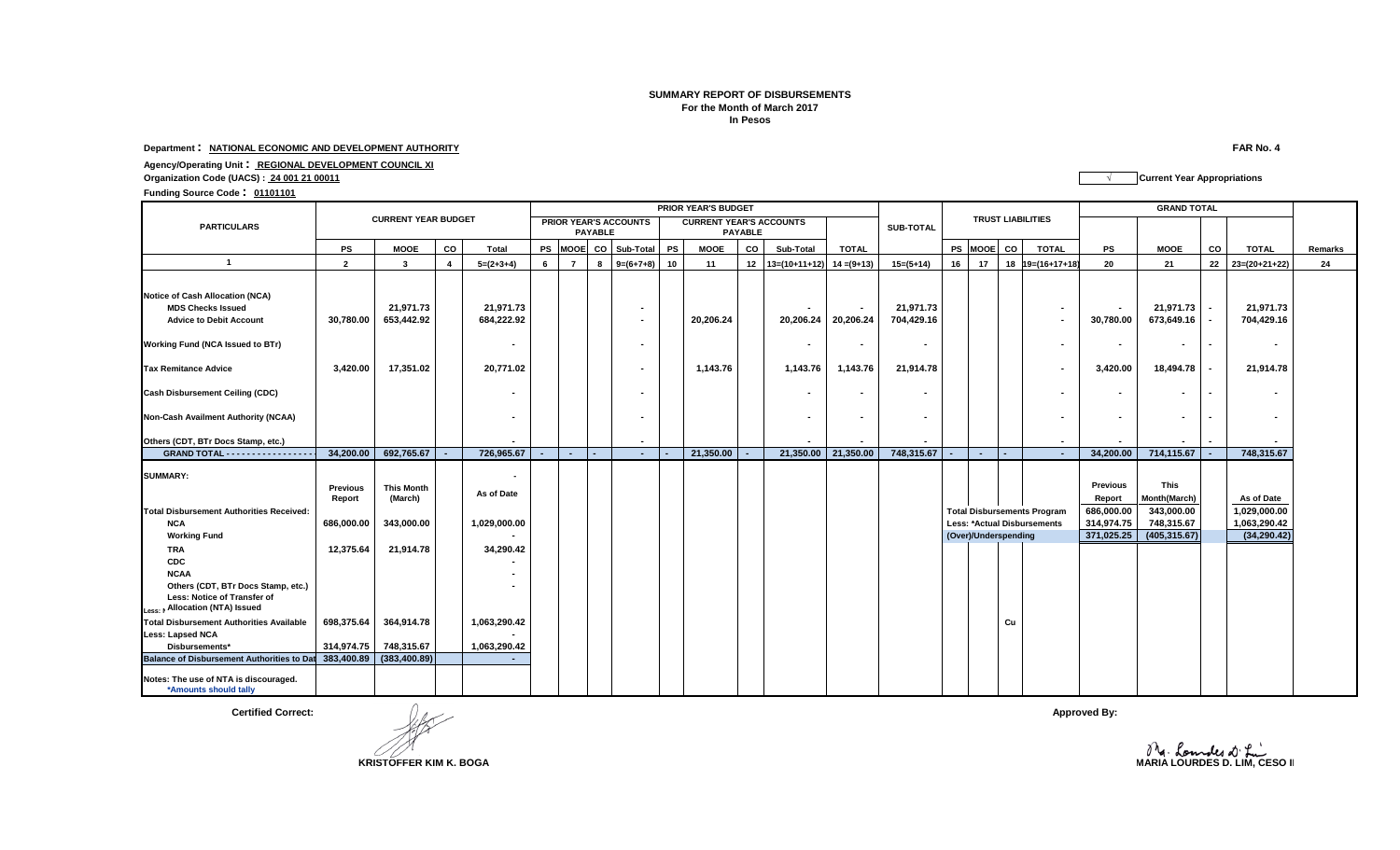## **For the Month of March 2017 In Pesos SUMMARY REPORT OF DISBURSEMENTS**

**Department : NATIONAL ECONOMIC AND DEVELOPMENT AUTHORITY FAR No. 4**

**Agency/Operating Unit : REGIONAL DEVELOPMENT COUNCIL XI**

**Organization Code (UACS) : 24 001 21 00011 √ Current Year Appropriations**

**Funding Source Code : <sup>01101101</sup>**

|                                                                                               |                            | <b>PRIOR YEAR'S BUDGET</b>   |    |                         |    |                                                |      |                |           |                                                  |    |                     |                             |                          |    | <b>GRAND TOTAL</b>                                  |    |                          |                          |                             |                         |                |                          |         |
|-----------------------------------------------------------------------------------------------|----------------------------|------------------------------|----|-------------------------|----|------------------------------------------------|------|----------------|-----------|--------------------------------------------------|----|---------------------|-----------------------------|--------------------------|----|-----------------------------------------------------|----|--------------------------|--------------------------|-----------------------------|-------------------------|----------------|--------------------------|---------|
| <b>PARTICULARS</b>                                                                            | <b>CURRENT YEAR BUDGET</b> |                              |    |                         |    | <b>PRIOR YEAR'S ACCOUNTS</b><br><b>PAYABLE</b> |      |                |           | <b>CURRENT YEAR'S ACCOUNTS</b><br><b>PAYABLE</b> |    |                     |                             | <b>SUB-TOTAL</b>         |    |                                                     |    | <b>TRUST LIABILITIES</b> |                          |                             |                         |                |                          |         |
|                                                                                               | PS                         | <b>MOOE</b>                  | CO | Total                   | PS | <b>MOOE</b>                                    | co l | Sub-Total      | <b>PS</b> | <b>MOOE</b>                                      | CO | Sub-Total           | <b>TOTAL</b>                |                          |    | PS MOOE                                             | CO |                          | <b>TOTAL</b>             | PS                          | <b>MOOE</b>             | CO             | <b>TOTAL</b>             | Remarks |
| $\overline{1}$                                                                                | $\overline{2}$             | 3                            |    | $5=(2+3+4)$             | 6  |                                                | -8   | $9=(6+7+8)$    | 10        | 11                                               | 12 | $13=(10+11+12)$     | $14 = (9+13)$               | $15=(5+14)$              | 16 | 17                                                  | 18 |                          | $19 = (16 + 17 + 18)$    | 20                          | 21                      | 22             | $23=(20+21+22)$          | 24      |
|                                                                                               |                            |                              |    |                         |    |                                                |      |                |           |                                                  |    |                     |                             |                          |    |                                                     |    |                          |                          |                             |                         |                |                          |         |
| Notice of Cash Allocation (NCA)<br><b>MDS Checks Issued</b><br><b>Advice to Debit Account</b> | 30,780.00                  | 21,971.73<br>653,442.92      |    | 21,971.73<br>684,222.92 |    |                                                |      | $\blacksquare$ |           | 20,206.24                                        |    | 20,206.24           | $\blacksquare$<br>20,206.24 | 21,971.73<br>704,429.16  |    |                                                     |    |                          | $\blacksquare$<br>$\sim$ | $\blacksquare$<br>30,780.00 | 21,971.73<br>673,649.16 |                | 21,971.73<br>704,429.16  |         |
| Working Fund (NCA Issued to BTr)                                                              |                            |                              |    |                         |    |                                                |      |                |           |                                                  |    |                     | $\sim$                      |                          |    |                                                     |    |                          | ٠                        | $\blacksquare$              |                         | $\overline{a}$ | $\overline{\phantom{0}}$ |         |
| <b>Tax Remitance Advice</b>                                                                   | 3,420.00                   | 17,351.02                    |    | 20,771.02               |    |                                                |      |                |           | 1,143.76                                         |    | 1,143.76            | 1,143.76                    | 21,914.78                |    |                                                     |    |                          | $\blacksquare$           | 3,420.00                    | 18,494.78               |                | 21,914.78                |         |
| <b>Cash Disbursement Ceiling (CDC)</b>                                                        |                            |                              |    |                         |    |                                                |      |                |           |                                                  |    |                     | $\sim$                      |                          |    |                                                     |    |                          | ٠                        | $\sim$                      |                         | $\blacksquare$ | $\sim$                   |         |
| Non-Cash Availment Authority (NCAA)                                                           |                            |                              |    |                         |    |                                                |      |                |           |                                                  |    |                     | $\sim$                      | $\overline{\phantom{a}}$ |    |                                                     |    |                          | ٠                        | $\overline{\phantom{a}}$    |                         |                | $\sim$                   |         |
| Others (CDT, BTr Docs Stamp, etc.)                                                            |                            |                              |    |                         |    |                                                |      | $\blacksquare$ |           |                                                  |    |                     |                             |                          |    |                                                     |    |                          | $\sim$                   |                             |                         |                |                          |         |
| GRAND TOTAL - - - - - - - - - - - - - - - -                                                   | 34,200.00                  | 692,765.67                   |    | 726,965.67              |    | $\sim$                                         |      | $\sim$         |           | 21,350.00                                        |    | 21,350.00 21,350.00 |                             | 748,315.67               |    | $\sim$                                              |    |                          | $\sim$                   | 34,200.00                   | 714,115.67              |                | 748,315.67               |         |
| <b>SUMMARY:</b>                                                                               |                            |                              |    |                         |    |                                                |      |                |           |                                                  |    |                     |                             |                          |    |                                                     |    |                          |                          |                             |                         |                |                          |         |
|                                                                                               | <b>Previous</b><br>Report  | <b>This Month</b><br>(March) |    | As of Date              |    |                                                |      |                |           |                                                  |    |                     |                             |                          |    |                                                     |    |                          |                          | <b>Previous</b><br>Report   | This<br>Month(March)    |                | As of Date               |         |
| <b>Total Disbursement Authorities Received:</b>                                               |                            |                              |    |                         |    |                                                |      |                |           |                                                  |    |                     |                             |                          |    | <b>Total Disbursements Program</b>                  |    |                          |                          | 686,000.00                  | 343,000.00              |                | 1,029,000.00             |         |
| <b>NCA</b>                                                                                    | 686,000.00                 | 343,000.00                   |    | 1,029,000.00            |    |                                                |      |                |           |                                                  |    |                     |                             |                          |    | Less: *Actual Disbursements<br>(Over)/Underspending |    |                          |                          | 314,974.75<br>371,025.25    | 748,315.67              |                | 1,063,290.42             |         |
| <b>Working Fund</b>                                                                           | 12,375.64                  | 21,914.78                    |    | 34,290.42               |    |                                                |      |                |           |                                                  |    |                     |                             |                          |    |                                                     |    |                          |                          |                             | (405, 315.67)           |                | (34, 290.42)             |         |
| TRA<br><b>CDC</b>                                                                             |                            |                              |    |                         |    |                                                |      |                |           |                                                  |    |                     |                             |                          |    |                                                     |    |                          |                          |                             |                         |                |                          |         |
| <b>NCAA</b>                                                                                   |                            |                              |    |                         |    |                                                |      |                |           |                                                  |    |                     |                             |                          |    |                                                     |    |                          |                          |                             |                         |                |                          |         |
| Others (CDT, BTr Docs Stamp, etc.)<br>Less: Notice of Transfer of                             |                            |                              |    |                         |    |                                                |      |                |           |                                                  |    |                     |                             |                          |    |                                                     |    |                          |                          |                             |                         |                |                          |         |
| Less: M Allocation (NTA) Issued                                                               |                            |                              |    |                         |    |                                                |      |                |           |                                                  |    |                     |                             |                          |    |                                                     |    |                          |                          |                             |                         |                |                          |         |
| <b>Total Disbursement Authorities Available</b>                                               | 698,375.64                 | 364,914.78                   |    | 1,063,290.42            |    |                                                |      |                |           |                                                  |    |                     |                             |                          |    |                                                     | Cu |                          |                          |                             |                         |                |                          |         |
| <b>Less: Lapsed NCA</b>                                                                       |                            |                              |    |                         |    |                                                |      |                |           |                                                  |    |                     |                             |                          |    |                                                     |    |                          |                          |                             |                         |                |                          |         |
| Disbursements*<br>Balance of Disbursement Authorities to Dat 383,400.89                       | 314,974.75                 | 748,315.67<br>(383, 400.89)  |    | 1,063,290.42            |    |                                                |      |                |           |                                                  |    |                     |                             |                          |    |                                                     |    |                          |                          |                             |                         |                |                          |         |
|                                                                                               |                            |                              |    |                         |    |                                                |      |                |           |                                                  |    |                     |                             |                          |    |                                                     |    |                          |                          |                             |                         |                |                          |         |
| Notes: The use of NTA is discouraged.<br>*Amounts should tally                                |                            |                              |    |                         |    |                                                |      |                |           |                                                  |    |                     |                             |                          |    |                                                     |    |                          |                          |                             |                         |                |                          |         |

**Certified Correct:** Approved By: Approved By: Approved By: Approved By: Approved By: Approved By: Approved By: Approved By: Approved By: Approved By: Approved By: Approved By: Approved By: Approved By: Approved By: Approv

**KRISTOFFER KIM K. BOGA COLLECTER KIM K. BOGA MARIA LOURDES D. LIM, CESO II**